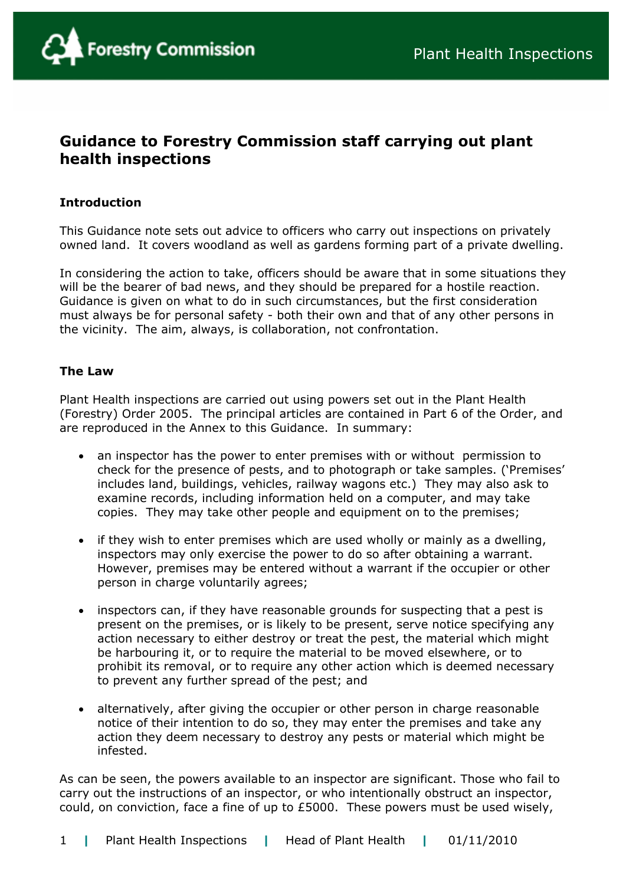# **Guidance to Forestry Commission staff carrying out plant health inspections**

## **Introduction**

This Guidance note sets out advice to officers who carry out inspections on privately owned land. It covers woodland as well as gardens forming part of a private dwelling.

In considering the action to take, officers should be aware that in some situations they will be the bearer of bad news, and they should be prepared for a hostile reaction. Guidance is given on what to do in such circumstances, but the first consideration must always be for personal safety - both their own and that of any other persons in the vicinity. The aim, always, is collaboration, not confrontation.

### **The Law**

Plant Health inspections are carried out using powers set out in the Plant Health (Forestry) Order 2005. The principal articles are contained in Part 6 of the Order, and are reproduced in the Annex to this Guidance. In summary:

- an inspector has the power to enter premises with or without permission to check for the presence of pests, and to photograph or take samples. ('Premises' includes land, buildings, vehicles, railway wagons etc.) They may also ask to examine records, including information held on a computer, and may take copies. They may take other people and equipment on to the premises;
- if they wish to enter premises which are used wholly or mainly as a dwelling, inspectors may only exercise the power to do so after obtaining a warrant. However, premises may be entered without a warrant if the occupier or other person in charge voluntarily agrees;
- inspectors can, if they have reasonable grounds for suspecting that a pest is present on the premises, or is likely to be present, serve notice specifying any action necessary to either destroy or treat the pest, the material which might be harbouring it, or to require the material to be moved elsewhere, or to prohibit its removal, or to require any other action which is deemed necessary to prevent any further spread of the pest; and
- alternatively, after giving the occupier or other person in charge reasonable notice of their intention to do so, they may enter the premises and take any action they deem necessary to destroy any pests or material which might be infested.

As can be seen, the powers available to an inspector are significant. Those who fail to carry out the instructions of an inspector, or who intentionally obstruct an inspector, could, on conviction, face a fine of up to £5000. These powers must be used wisely,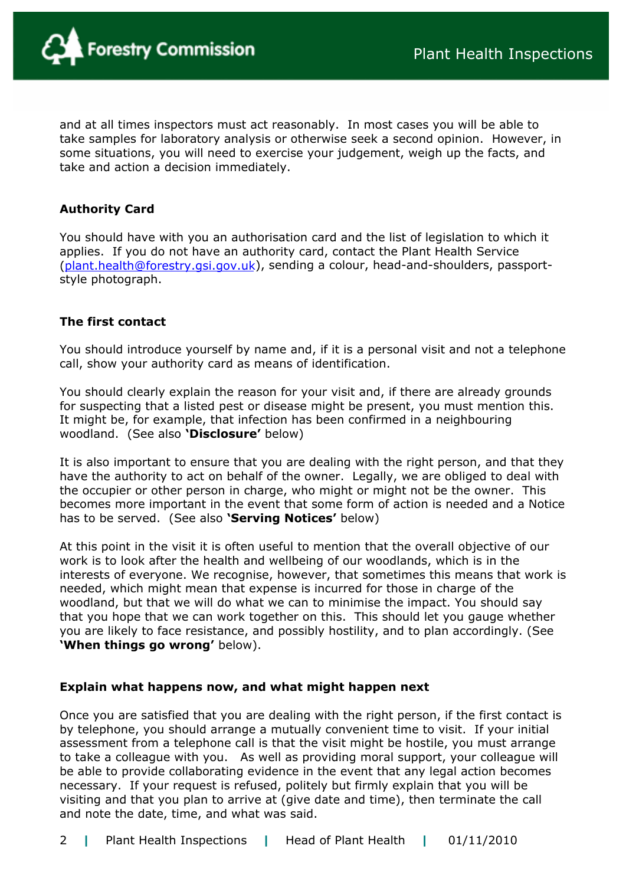

and at all times inspectors must act reasonably. In most cases you will be able to take samples for laboratory analysis or otherwise seek a second opinion. However, in some situations, you will need to exercise your judgement, weigh up the facts, and take and action a decision immediately.

## **Authority Card**

You should have with you an authorisation card and the list of legislation to which it applies. If you do not have an authority card, contact the Plant Health Service ([plant.health@forestry.gsi.gov.uk](mailto:sheila.inglis@forestry.gsi.gov.uk)), sending a colour, head-and-shoulders, passportstyle photograph.

### **The first contact**

You should introduce yourself by name and, if it is a personal visit and not a telephone call, show your authority card as means of identification.

You should clearly explain the reason for your visit and, if there are already grounds for suspecting that a listed pest or disease might be present, you must mention this. It might be, for example, that infection has been confirmed in a neighbouring woodland. (See also **'Disclosure'** below)

It is also important to ensure that you are dealing with the right person, and that they have the authority to act on behalf of the owner. Legally, we are obliged to deal with the occupier or other person in charge, who might or might not be the owner. This becomes more important in the event that some form of action is needed and a Notice has to be served. (See also **'Serving Notices'** below)

At this point in the visit it is often useful to mention that the overall objective of our work is to look after the health and wellbeing of our woodlands, which is in the interests of everyone. We recognise, however, that sometimes this means that work is needed, which might mean that expense is incurred for those in charge of the woodland, but that we will do what we can to minimise the impact. You should say that you hope that we can work together on this. This should let you gauge whether you are likely to face resistance, and possibly hostility, and to plan accordingly. (See **'When things go wrong'** below).

### **Explain what happens now, and what might happen next**

Once you are satisfied that you are dealing with the right person, if the first contact is by telephone, you should arrange a mutually convenient time to visit. If your initial assessment from a telephone call is that the visit might be hostile, you must arrange to take a colleague with you. As well as providing moral support, your colleague will be able to provide collaborating evidence in the event that any legal action becomes necessary. If your request is refused, politely but firmly explain that you will be visiting and that you plan to arrive at (give date and time), then terminate the call and note the date, time, and what was said.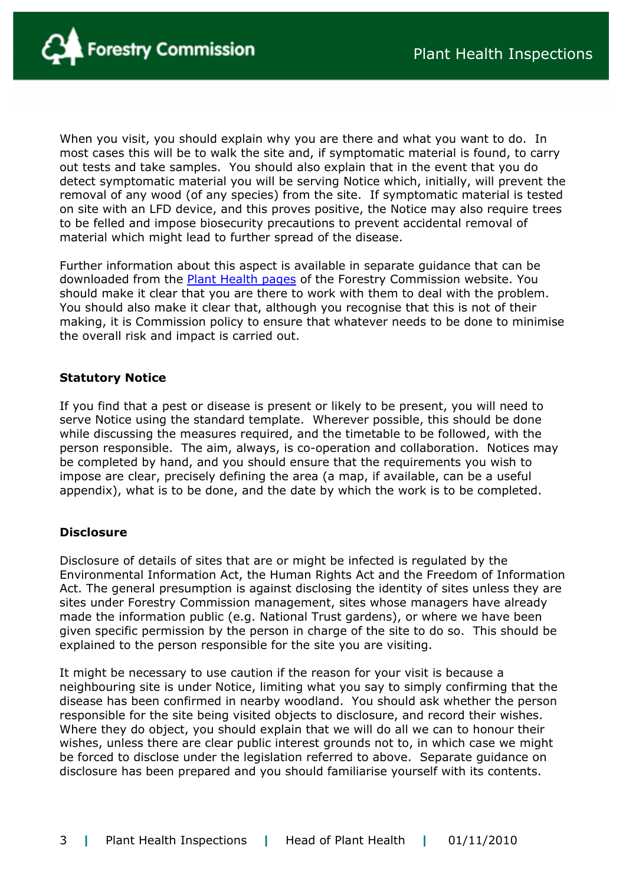

When you visit, you should explain why you are there and what you want to do. In most cases this will be to walk the site and, if symptomatic material is found, to carry out tests and take samples. You should also explain that in the event that you do detect symptomatic material you will be serving Notice which, initially, will prevent the removal of any wood (of any species) from the site. If symptomatic material is tested on site with an LFD device, and this proves positive, the Notice may also require trees to be felled and impose biosecurity precautions to prevent accidental removal of material which might lead to further spread of the disease.

Further information about this aspect is available in separate guidance that can be downloaded from the [Plant Health pages](http://www.forestry.gov.uk/planthealth) of the Forestry Commission website. You should make it clear that you are there to work with them to deal with the problem. You should also make it clear that, although you recognise that this is not of their making, it is Commission policy to ensure that whatever needs to be done to minimise the overall risk and impact is carried out.

### **Statutory Notice**

If you find that a pest or disease is present or likely to be present, you will need to serve Notice using the standard template. Wherever possible, this should be done while discussing the measures required, and the timetable to be followed, with the person responsible. The aim, always, is co-operation and collaboration. Notices may be completed by hand, and you should ensure that the requirements you wish to impose are clear, precisely defining the area (a map, if available, can be a useful appendix), what is to be done, and the date by which the work is to be completed.

### **Disclosure**

Disclosure of details of sites that are or might be infected is regulated by the Environmental Information Act, the Human Rights Act and the Freedom of Information Act. The general presumption is against disclosing the identity of sites unless they are sites under Forestry Commission management, sites whose managers have already made the information public (e.g. National Trust gardens), or where we have been given specific permission by the person in charge of the site to do so. This should be explained to the person responsible for the site you are visiting.

It might be necessary to use caution if the reason for your visit is because a neighbouring site is under Notice, limiting what you say to simply confirming that the disease has been confirmed in nearby woodland. You should ask whether the person responsible for the site being visited objects to disclosure, and record their wishes. Where they do object, you should explain that we will do all we can to honour their wishes, unless there are clear public interest grounds not to, in which case we might be forced to disclose under the legislation referred to above. Separate guidance on disclosure has been prepared and you should familiarise yourself with its contents.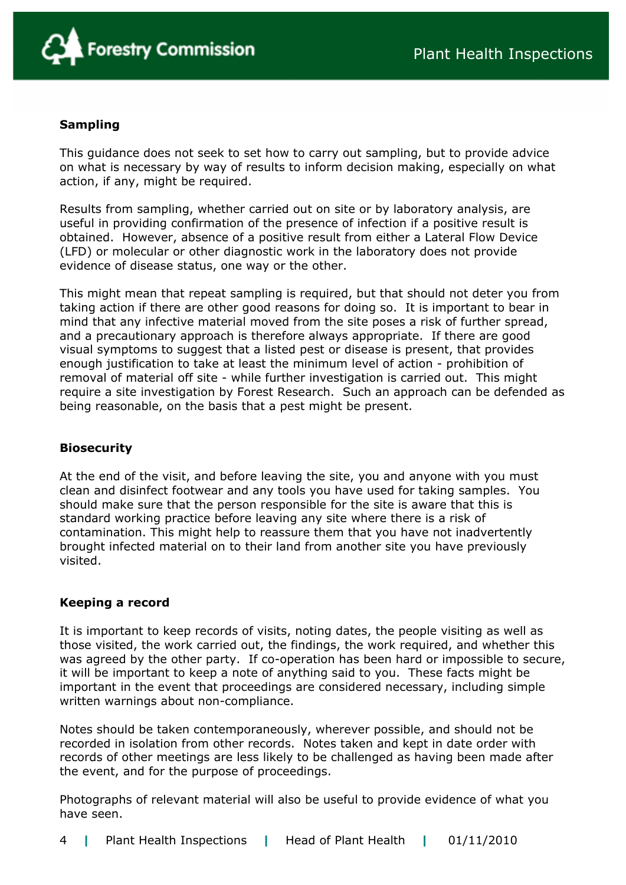

## **Sampling**

This guidance does not seek to set how to carry out sampling, but to provide advice on what is necessary by way of results to inform decision making, especially on what action, if any, might be required.

Results from sampling, whether carried out on site or by laboratory analysis, are useful in providing confirmation of the presence of infection if a positive result is obtained. However, absence of a positive result from either a Lateral Flow Device (LFD) or molecular or other diagnostic work in the laboratory does not provide evidence of disease status, one way or the other.

This might mean that repeat sampling is required, but that should not deter you from taking action if there are other good reasons for doing so. It is important to bear in mind that any infective material moved from the site poses a risk of further spread, and a precautionary approach is therefore always appropriate. If there are good visual symptoms to suggest that a listed pest or disease is present, that provides enough justification to take at least the minimum level of action - prohibition of removal of material off site - while further investigation is carried out. This might require a site investigation by Forest Research. Such an approach can be defended as being reasonable, on the basis that a pest might be present.

## **Biosecurity**

At the end of the visit, and before leaving the site, you and anyone with you must clean and disinfect footwear and any tools you have used for taking samples. You should make sure that the person responsible for the site is aware that this is standard working practice before leaving any site where there is a risk of contamination. This might help to reassure them that you have not inadvertently brought infected material on to their land from another site you have previously visited.

### **Keeping a record**

It is important to keep records of visits, noting dates, the people visiting as well as those visited, the work carried out, the findings, the work required, and whether this was agreed by the other party. If co-operation has been hard or impossible to secure, it will be important to keep a note of anything said to you. These facts might be important in the event that proceedings are considered necessary, including simple written warnings about non-compliance.

Notes should be taken contemporaneously, wherever possible, and should not be recorded in isolation from other records. Notes taken and kept in date order with records of other meetings are less likely to be challenged as having been made after the event, and for the purpose of proceedings.

Photographs of relevant material will also be useful to provide evidence of what you have seen.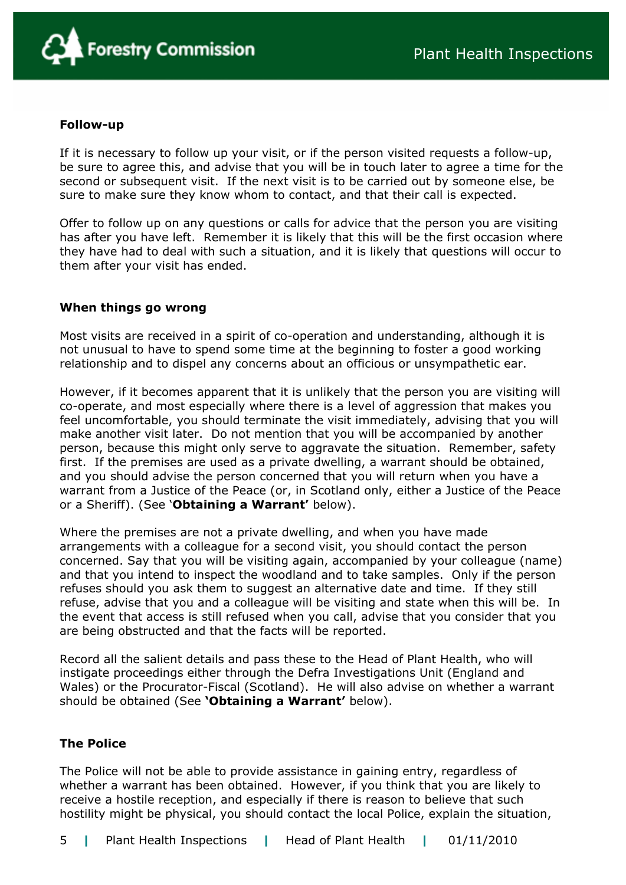

#### **Follow-up**

If it is necessary to follow up your visit, or if the person visited requests a follow-up, be sure to agree this, and advise that you will be in touch later to agree a time for the second or subsequent visit. If the next visit is to be carried out by someone else, be sure to make sure they know whom to contact, and that their call is expected.

Offer to follow up on any questions or calls for advice that the person you are visiting has after you have left. Remember it is likely that this will be the first occasion where they have had to deal with such a situation, and it is likely that questions will occur to them after your visit has ended.

### **When things go wrong**

Most visits are received in a spirit of co-operation and understanding, although it is not unusual to have to spend some time at the beginning to foster a good working relationship and to dispel any concerns about an officious or unsympathetic ear.

However, if it becomes apparent that it is unlikely that the person you are visiting will co-operate, and most especially where there is a level of aggression that makes you feel uncomfortable, you should terminate the visit immediately, advising that you will make another visit later. Do not mention that you will be accompanied by another person, because this might only serve to aggravate the situation. Remember, safety first. If the premises are used as a private dwelling, a warrant should be obtained, and you should advise the person concerned that you will return when you have a warrant from a Justice of the Peace (or, in Scotland only, either a Justice of the Peace or a Sheriff). (See '**Obtaining a Warrant'** below).

Where the premises are not a private dwelling, and when you have made arrangements with a colleague for a second visit, you should contact the person concerned. Say that you will be visiting again, accompanied by your colleague (name) and that you intend to inspect the woodland and to take samples. Only if the person refuses should you ask them to suggest an alternative date and time. If they still refuse, advise that you and a colleague will be visiting and state when this will be. In the event that access is still refused when you call, advise that you consider that you are being obstructed and that the facts will be reported.

Record all the salient details and pass these to the Head of Plant Health, who will instigate proceedings either through the Defra Investigations Unit (England and Wales) or the Procurator-Fiscal (Scotland). He will also advise on whether a warrant should be obtained (See **'Obtaining a Warrant'** below).

## **The Police**

The Police will not be able to provide assistance in gaining entry, regardless of whether a warrant has been obtained. However, if you think that you are likely to receive a hostile reception, and especially if there is reason to believe that such hostility might be physical, you should contact the local Police, explain the situation,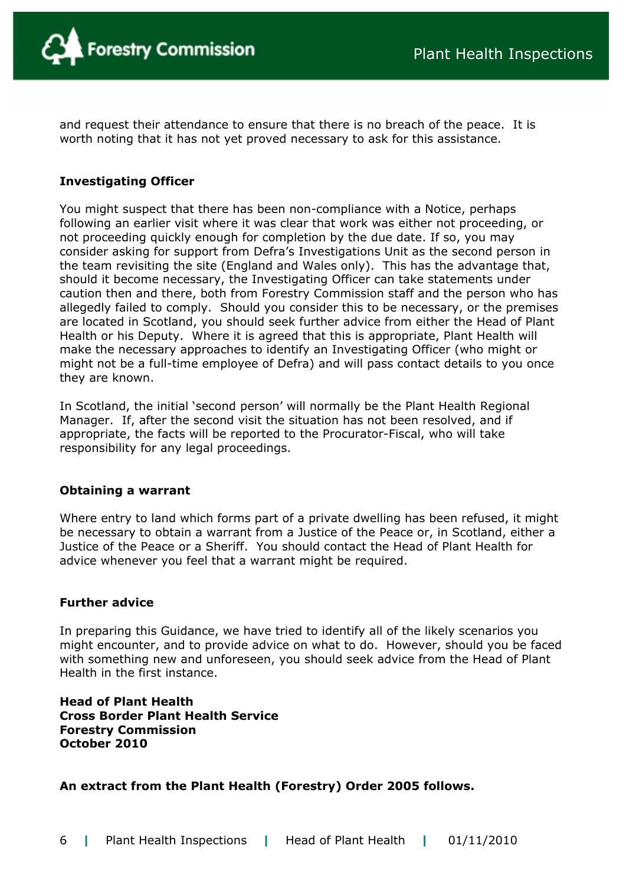and request their attendance to ensure that there is no breach of the peace. It is worth noting that it has not yet proved necessary to ask for this assistance.

## **Investigating Officer**

You might suspect that there has been non-compliance with a Notice, perhaps following an earlier visit where it was clear that work was either not proceeding, or not proceeding quickly enough for completion by the due date. If so, you may consider asking for support from Defra's Investigations Unit as the second person in the team revisiting the site (England and Wales only). This has the advantage that, should it become necessary, the Investigating Officer can take statements under caution then and there, both from Forestry Commission staff and the person who has allegedly failed to comply. Should you consider this to be necessary, or the premises are located in Scotland, you should seek further advice from either the Head of Plant Health or his Deputy. Where it is agreed that this is appropriate, Plant Health will make the necessary approaches to identify an Investigating Officer (who might or might not be a full-time employee of Defra) and will pass contact details to you once they are known.

In Scotland, the initial 'second person' will normally be the Plant Health Regional Manager. If, after the second visit the situation has not been resolved, and if appropriate, the facts will be reported to the Procurator-Fiscal, who will take responsibility for any legal proceedings.

### **Obtaining a warrant**

Where entry to land which forms part of a private dwelling has been refused, it might be necessary to obtain a warrant from a Justice of the Peace or, in Scotland, either a Justice of the Peace or a Sheriff. You should contact the Head of Plant Health for advice whenever you feel that a warrant might be required.

## **Further advice**

In preparing this Guidance, we have tried to identify all of the likely scenarios you might encounter, and to provide advice on what to do. However, should you be faced with something new and unforeseen, you should seek advice from the Head of Plant Health in the first instance.

**Head of Plant Health Cross Border Plant Health Service Forestry Commission October 2010** 

## **An extract from the Plant Health (Forestry) Order 2005 follows.**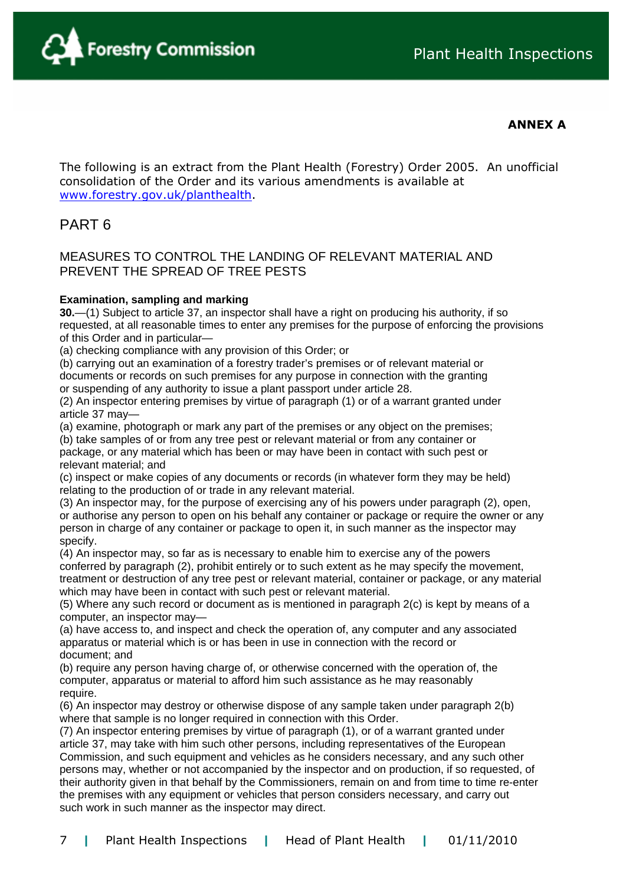

## **ANNEX A**

The following is an extract from the Plant Health (Forestry) Order 2005. An unofficial consolidation of the Order and its various amendments is available at [www.forestry.gov.uk/planthealth](http://www.forestry.gov.uk/planthealth).

# PART 6

## MEASURES TO CONTROL THE LANDING OF RELEVANT MATERIAL AND PREVENT THE SPREAD OF TREE PESTS

#### **Examination, sampling and marking**

**30.**—(1) Subject to article 37, an inspector shall have a right on producing his authority, if so requested, at all reasonable times to enter any premises for the purpose of enforcing the provisions of this Order and in particular—

(a) checking compliance with any provision of this Order; or

(b) carrying out an examination of a forestry trader's premises or of relevant material or documents or records on such premises for any purpose in connection with the granting or suspending of any authority to issue a plant passport under article 28.

(2) An inspector entering premises by virtue of paragraph (1) or of a warrant granted under article 37 may—

(a) examine, photograph or mark any part of the premises or any object on the premises;

(b) take samples of or from any tree pest or relevant material or from any container or package, or any material which has been or may have been in contact with such pest or relevant material; and

(c) inspect or make copies of any documents or records (in whatever form they may be held) relating to the production of or trade in any relevant material.

(3) An inspector may, for the purpose of exercising any of his powers under paragraph (2), open, or authorise any person to open on his behalf any container or package or require the owner or any person in charge of any container or package to open it, in such manner as the inspector may specify.

(4) An inspector may, so far as is necessary to enable him to exercise any of the powers conferred by paragraph (2), prohibit entirely or to such extent as he may specify the movement, treatment or destruction of any tree pest or relevant material, container or package, or any material which may have been in contact with such pest or relevant material.

(5) Where any such record or document as is mentioned in paragraph 2(c) is kept by means of a computer, an inspector may—

(a) have access to, and inspect and check the operation of, any computer and any associated apparatus or material which is or has been in use in connection with the record or document; and

(b) require any person having charge of, or otherwise concerned with the operation of, the computer, apparatus or material to afford him such assistance as he may reasonably require.

(6) An inspector may destroy or otherwise dispose of any sample taken under paragraph 2(b) where that sample is no longer required in connection with this Order.

(7) An inspector entering premises by virtue of paragraph (1), or of a warrant granted under article 37, may take with him such other persons, including representatives of the European Commission, and such equipment and vehicles as he considers necessary, and any such other persons may, whether or not accompanied by the inspector and on production, if so requested, of their authority given in that behalf by the Commissioners, remain on and from time to time re-enter the premises with any equipment or vehicles that person considers necessary, and carry out such work in such manner as the inspector may direct.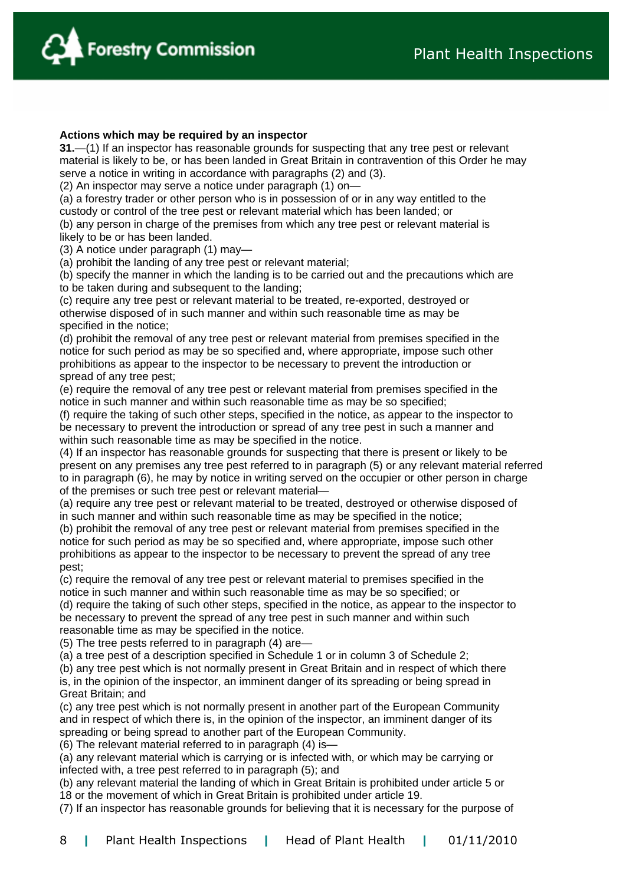

#### **Actions which may be required by an inspector**

**31.**—(1) If an inspector has reasonable grounds for suspecting that any tree pest or relevant material is likely to be, or has been landed in Great Britain in contravention of this Order he may serve a notice in writing in accordance with paragraphs (2) and (3).

(2) An inspector may serve a notice under paragraph (1) on—

(a) a forestry trader or other person who is in possession of or in any way entitled to the custody or control of the tree pest or relevant material which has been landed; or

(b) any person in charge of the premises from which any tree pest or relevant material is likely to be or has been landed.

(3) A notice under paragraph (1) may—

(a) prohibit the landing of any tree pest or relevant material;

(b) specify the manner in which the landing is to be carried out and the precautions which are to be taken during and subsequent to the landing;

(c) require any tree pest or relevant material to be treated, re-exported, destroyed or otherwise disposed of in such manner and within such reasonable time as may be specified in the notice;

(d) prohibit the removal of any tree pest or relevant material from premises specified in the notice for such period as may be so specified and, where appropriate, impose such other prohibitions as appear to the inspector to be necessary to prevent the introduction or spread of any tree pest;

(e) require the removal of any tree pest or relevant material from premises specified in the notice in such manner and within such reasonable time as may be so specified;

(f) require the taking of such other steps, specified in the notice, as appear to the inspector to be necessary to prevent the introduction or spread of any tree pest in such a manner and within such reasonable time as may be specified in the notice.

(4) If an inspector has reasonable grounds for suspecting that there is present or likely to be present on any premises any tree pest referred to in paragraph (5) or any relevant material referred to in paragraph (6), he may by notice in writing served on the occupier or other person in charge of the premises or such tree pest or relevant material—

(a) require any tree pest or relevant material to be treated, destroyed or otherwise disposed of in such manner and within such reasonable time as may be specified in the notice;

(b) prohibit the removal of any tree pest or relevant material from premises specified in the notice for such period as may be so specified and, where appropriate, impose such other prohibitions as appear to the inspector to be necessary to prevent the spread of any tree pest;

(c) require the removal of any tree pest or relevant material to premises specified in the notice in such manner and within such reasonable time as may be so specified; or

(d) require the taking of such other steps, specified in the notice, as appear to the inspector to be necessary to prevent the spread of any tree pest in such manner and within such reasonable time as may be specified in the notice.

(5) The tree pests referred to in paragraph (4) are—

(a) a tree pest of a description specified in Schedule 1 or in column 3 of Schedule 2;

(b) any tree pest which is not normally present in Great Britain and in respect of which there is, in the opinion of the inspector, an imminent danger of its spreading or being spread in Great Britain; and

(c) any tree pest which is not normally present in another part of the European Community and in respect of which there is, in the opinion of the inspector, an imminent danger of its spreading or being spread to another part of the European Community.

(6) The relevant material referred to in paragraph (4) is—

(a) any relevant material which is carrying or is infected with, or which may be carrying or infected with, a tree pest referred to in paragraph (5); and

(b) any relevant material the landing of which in Great Britain is prohibited under article 5 or 18 or the movement of which in Great Britain is prohibited under article 19.

(7) If an inspector has reasonable grounds for believing that it is necessary for the purpose of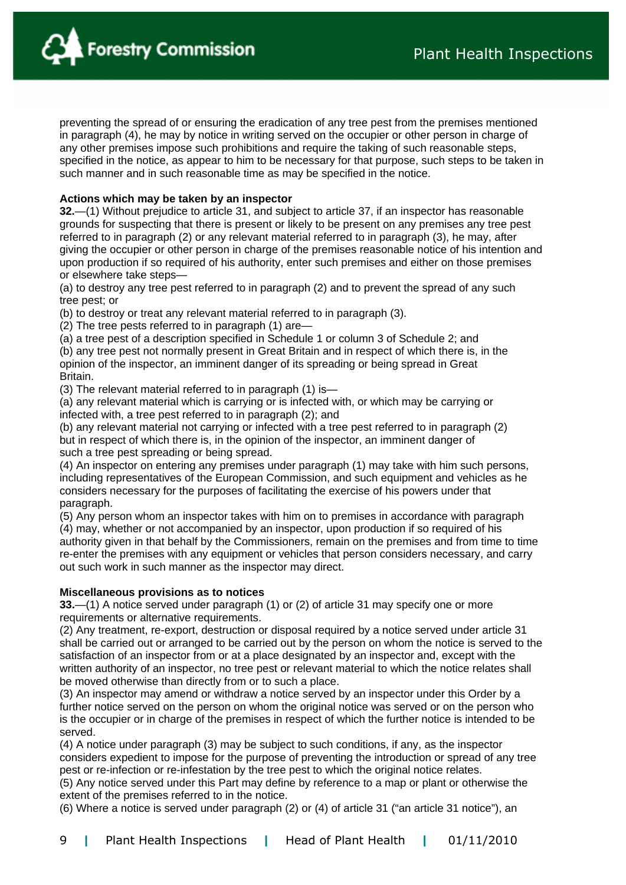

preventing the spread of or ensuring the eradication of any tree pest from the premises mentioned in paragraph (4), he may by notice in writing served on the occupier or other person in charge of any other premises impose such prohibitions and require the taking of such reasonable steps, specified in the notice, as appear to him to be necessary for that purpose, such steps to be taken in such manner and in such reasonable time as may be specified in the notice.

#### **Actions which may be taken by an inspector**

**32.**—(1) Without prejudice to article 31, and subject to article 37, if an inspector has reasonable grounds for suspecting that there is present or likely to be present on any premises any tree pest referred to in paragraph (2) or any relevant material referred to in paragraph (3), he may, after giving the occupier or other person in charge of the premises reasonable notice of his intention and upon production if so required of his authority, enter such premises and either on those premises or elsewhere take steps—

(a) to destroy any tree pest referred to in paragraph (2) and to prevent the spread of any such tree pest; or

(b) to destroy or treat any relevant material referred to in paragraph (3).

(2) The tree pests referred to in paragraph (1) are—

(a) a tree pest of a description specified in Schedule 1 or column 3 of Schedule 2; and

(b) any tree pest not normally present in Great Britain and in respect of which there is, in the opinion of the inspector, an imminent danger of its spreading or being spread in Great Britain.

(3) The relevant material referred to in paragraph (1) is—

(a) any relevant material which is carrying or is infected with, or which may be carrying or infected with, a tree pest referred to in paragraph (2); and

(b) any relevant material not carrying or infected with a tree pest referred to in paragraph (2) but in respect of which there is, in the opinion of the inspector, an imminent danger of such a tree pest spreading or being spread.

(4) An inspector on entering any premises under paragraph (1) may take with him such persons, including representatives of the European Commission, and such equipment and vehicles as he considers necessary for the purposes of facilitating the exercise of his powers under that paragraph.

(5) Any person whom an inspector takes with him on to premises in accordance with paragraph (4) may, whether or not accompanied by an inspector, upon production if so required of his authority given in that behalf by the Commissioners, remain on the premises and from time to time re-enter the premises with any equipment or vehicles that person considers necessary, and carry out such work in such manner as the inspector may direct.

#### **Miscellaneous provisions as to notices**

**33.**—(1) A notice served under paragraph (1) or (2) of article 31 may specify one or more requirements or alternative requirements.

(2) Any treatment, re-export, destruction or disposal required by a notice served under article 31 shall be carried out or arranged to be carried out by the person on whom the notice is served to the satisfaction of an inspector from or at a place designated by an inspector and, except with the written authority of an inspector, no tree pest or relevant material to which the notice relates shall be moved otherwise than directly from or to such a place.

(3) An inspector may amend or withdraw a notice served by an inspector under this Order by a further notice served on the person on whom the original notice was served or on the person who is the occupier or in charge of the premises in respect of which the further notice is intended to be served.

(4) A notice under paragraph (3) may be subject to such conditions, if any, as the inspector considers expedient to impose for the purpose of preventing the introduction or spread of any tree pest or re-infection or re-infestation by the tree pest to which the original notice relates.

(5) Any notice served under this Part may define by reference to a map or plant or otherwise the extent of the premises referred to in the notice.

(6) Where a notice is served under paragraph (2) or (4) of article 31 ("an article 31 notice"), an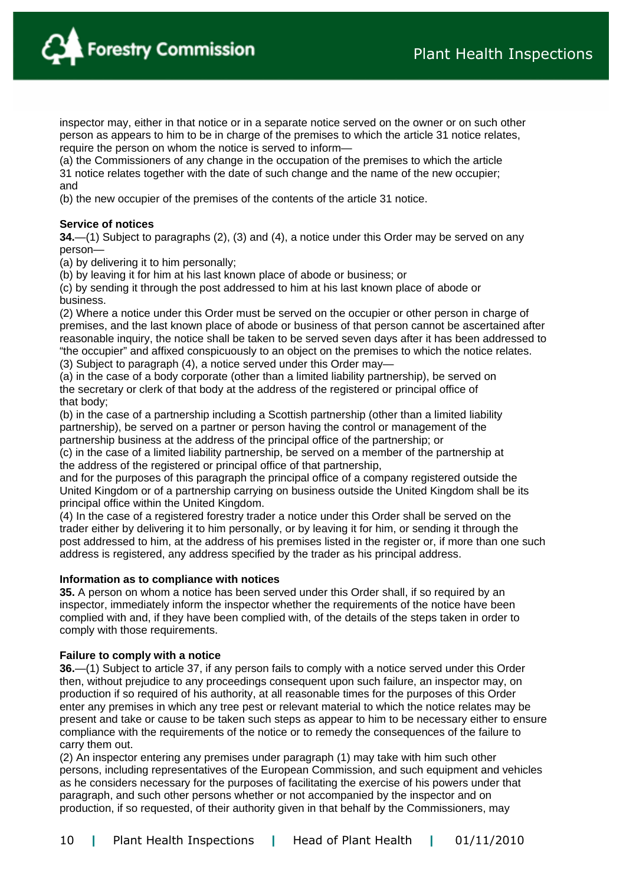**Forestry Commission** 

inspector may, either in that notice or in a separate notice served on the owner or on such other person as appears to him to be in charge of the premises to which the article 31 notice relates, require the person on whom the notice is served to inform—

(a) the Commissioners of any change in the occupation of the premises to which the article 31 notice relates together with the date of such change and the name of the new occupier; and

(b) the new occupier of the premises of the contents of the article 31 notice.

#### **Service of notices**

**34.**—(1) Subject to paragraphs (2), (3) and (4), a notice under this Order may be served on any person—

(a) by delivering it to him personally;

(b) by leaving it for him at his last known place of abode or business; or

(c) by sending it through the post addressed to him at his last known place of abode or business.

(2) Where a notice under this Order must be served on the occupier or other person in charge of premises, and the last known place of abode or business of that person cannot be ascertained after reasonable inquiry, the notice shall be taken to be served seven days after it has been addressed to "the occupier" and affixed conspicuously to an object on the premises to which the notice relates.

(3) Subject to paragraph (4), a notice served under this Order may—

(a) in the case of a body corporate (other than a limited liability partnership), be served on the secretary or clerk of that body at the address of the registered or principal office of that body;

(b) in the case of a partnership including a Scottish partnership (other than a limited liability partnership), be served on a partner or person having the control or management of the partnership business at the address of the principal office of the partnership; or

(c) in the case of a limited liability partnership, be served on a member of the partnership at the address of the registered or principal office of that partnership,

and for the purposes of this paragraph the principal office of a company registered outside the United Kingdom or of a partnership carrying on business outside the United Kingdom shall be its principal office within the United Kingdom.

(4) In the case of a registered forestry trader a notice under this Order shall be served on the trader either by delivering it to him personally, or by leaving it for him, or sending it through the post addressed to him, at the address of his premises listed in the register or, if more than one such address is registered, any address specified by the trader as his principal address.

#### **Information as to compliance with notices**

**35.** A person on whom a notice has been served under this Order shall, if so required by an inspector, immediately inform the inspector whether the requirements of the notice have been complied with and, if they have been complied with, of the details of the steps taken in order to comply with those requirements.

#### **Failure to comply with a notice**

**36.**—(1) Subject to article 37, if any person fails to comply with a notice served under this Order then, without prejudice to any proceedings consequent upon such failure, an inspector may, on production if so required of his authority, at all reasonable times for the purposes of this Order enter any premises in which any tree pest or relevant material to which the notice relates may be present and take or cause to be taken such steps as appear to him to be necessary either to ensure compliance with the requirements of the notice or to remedy the consequences of the failure to carry them out.

(2) An inspector entering any premises under paragraph (1) may take with him such other persons, including representatives of the European Commission, and such equipment and vehicles as he considers necessary for the purposes of facilitating the exercise of his powers under that paragraph, and such other persons whether or not accompanied by the inspector and on production, if so requested, of their authority given in that behalf by the Commissioners, may